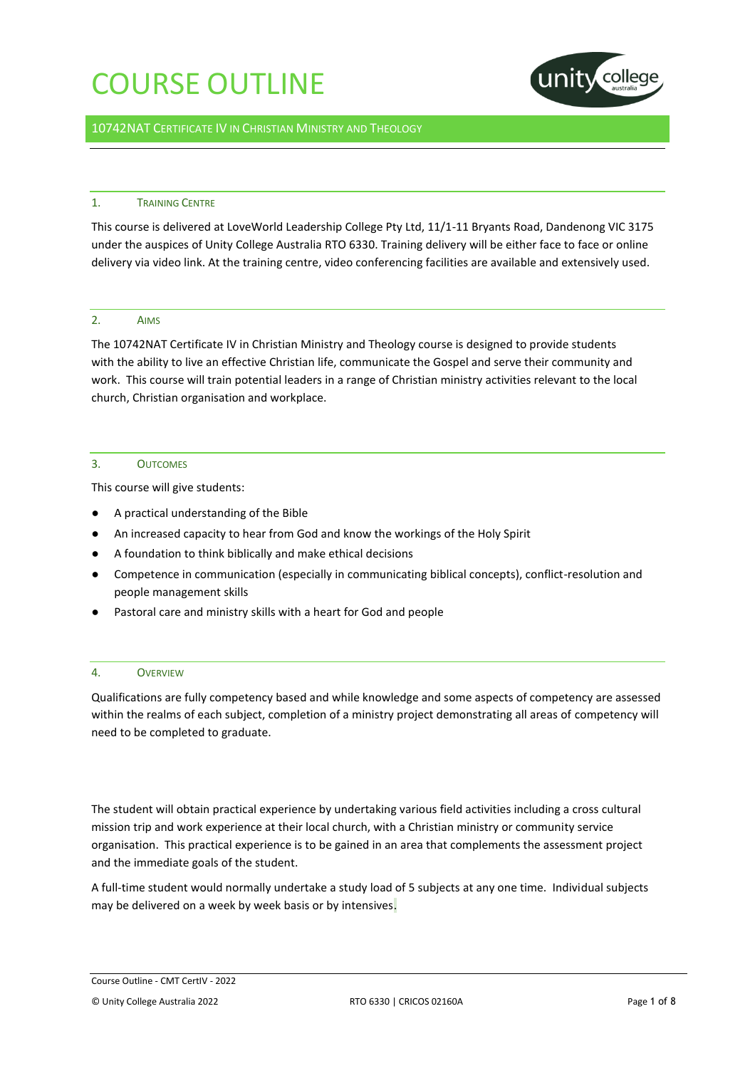

## 10742NAT CERTIFICATE IV IN CHRISTIAN MINISTRY AND THEOLOGY

### 1. TRAINING CENTRE

This course is delivered at LoveWorld Leadership College Pty Ltd, 11/1-11 Bryants Road, Dandenong VIC 3175 under the auspices of Unity College Australia RTO 6330. Training delivery will be either face to face or online delivery via video link. At the training centre, video conferencing facilities are available and extensively used.

### 2. AIMS

The 10742NAT Certificate IV in Christian Ministry and Theology course is designed to provide students with the ability to live an effective Christian life, communicate the Gospel and serve their community and work. This course will train potential leaders in a range of Christian ministry activities relevant to the local church, Christian organisation and workplace.

### 3. OUTCOMES

This course will give students:

- A practical understanding of the Bible
- An increased capacity to hear from God and know the workings of the Holy Spirit
- A foundation to think biblically and make ethical decisions
- Competence in communication (especially in communicating biblical concepts), conflict-resolution and people management skills
- Pastoral care and ministry skills with a heart for God and people

## 4. OVERVIEW

Qualifications are fully competency based and while knowledge and some aspects of competency are assessed within the realms of each subject, completion of a ministry project demonstrating all areas of competency will need to be completed to graduate.

The student will obtain practical experience by undertaking various field activities including a cross cultural mission trip and work experience at their local church, with a Christian ministry or community service organisation. This practical experience is to be gained in an area that complements the assessment project and the immediate goals of the student.

A full-time student would normally undertake a study load of 5 subjects at any one time. Individual subjects may be delivered on a week by week basis or by intensives.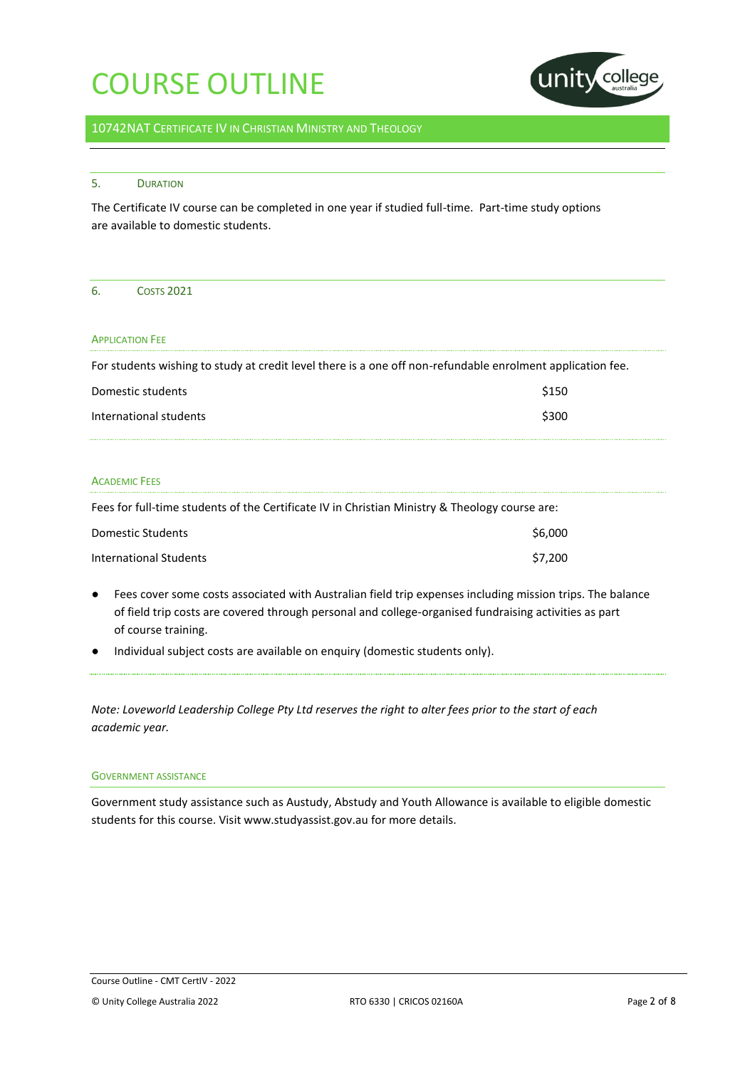

## 10742NAT CERTIFICATE IV IN CHRISTIAN MINISTRY AND THEOLOGY

### 5. DURATION

The Certificate IV course can be completed in one year if studied full-time. Part-time study options are available to domestic students.

## 6. COSTS 2021

### **APPLICATION FFF**

For students wishing to study at credit level there is a one off non-refundable enrolment application fee.

| Domestic students      | \$150 |
|------------------------|-------|
| International students | \$300 |

## ACADEMIC FEES

Fees for full-time students of the Certificate IV in Christian Ministry & Theology course are:

| Domestic Students      | \$6,000 |
|------------------------|---------|
| International Students | \$7.200 |

- Fees cover some costs associated with Australian field trip expenses including mission trips. The balance of field trip costs are covered through personal and college-organised fundraising activities as part of course training.
- Individual subject costs are available on enquiry (domestic students only).

*Note: Loveworld Leadership College Pty Ltd reserves the right to alter fees prior to the start of each academic year.*

#### GOVERNMENT ASSISTANCE

Government study assistance such as Austudy, Abstudy and Youth Allowance is available to eligible domestic students for this course. Visit www.studyassist.gov.au for more details.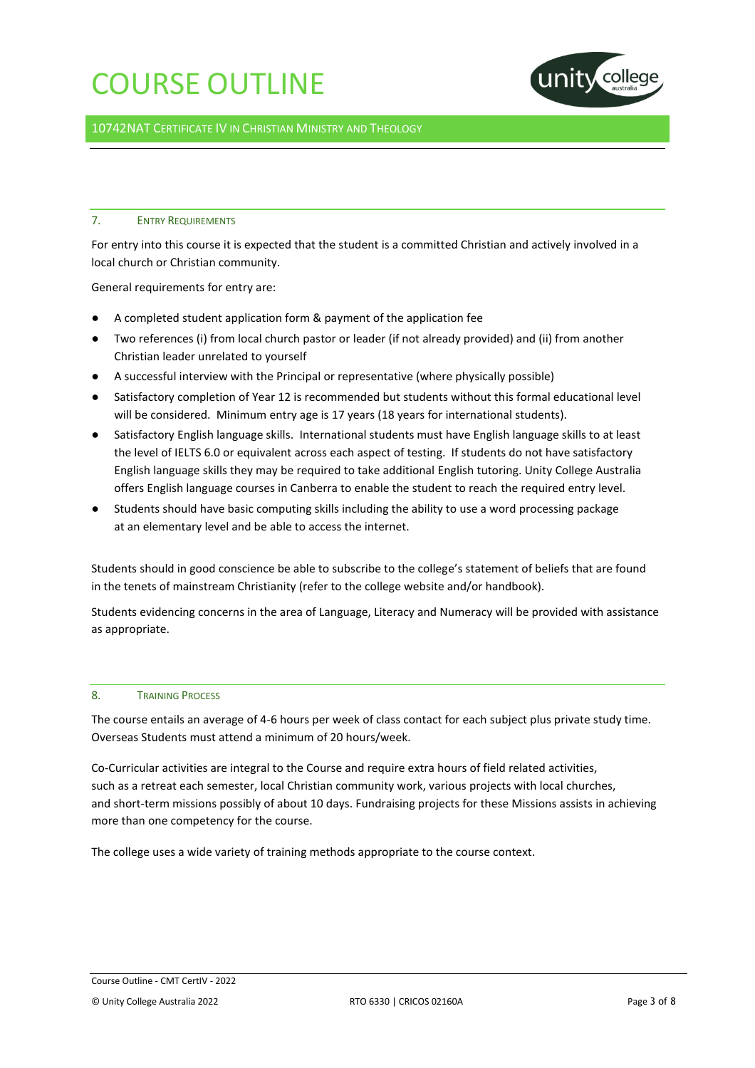

10742NAT CERTIFICATE IV IN CHRISTIAN MINISTRY AND THEOLOGY

## 7. ENTRY REQUIREMENTS

For entry into this course it is expected that the student is a committed Christian and actively involved in a local church or Christian community.

General requirements for entry are:

- A completed student application form & payment of the application fee
- Two references (i) from local church pastor or leader (if not already provided) and (ii) from another Christian leader unrelated to yourself
- A successful interview with the Principal or representative (where physically possible)
- Satisfactory completion of Year 12 is recommended but students without this formal educational level will be considered. Minimum entry age is 17 years (18 years for international students).
- Satisfactory English language skills. International students must have English language skills to at least the level of IELTS 6.0 or equivalent across each aspect of testing. If students do not have satisfactory English language skills they may be required to take additional English tutoring. Unity College Australia offers English language courses in Canberra to enable the student to reach the required entry level.
- Students should have basic computing skills including the ability to use a word processing package at an elementary level and be able to access the internet.

Students should in good conscience be able to subscribe to the college's statement of beliefs that are found in the tenets of mainstream Christianity (refer to the college website and/or handbook).

Students evidencing concerns in the area of Language, Literacy and Numeracy will be provided with assistance as appropriate.

## 8. TRAINING PROCESS

The course entails an average of 4-6 hours per week of class contact for each subject plus private study time. Overseas Students must attend a minimum of 20 hours/week.

Co-Curricular activities are integral to the Course and require extra hours of field related activities, such as a retreat each semester, local Christian community work, various projects with local churches, and short-term missions possibly of about 10 days. Fundraising projects for these Missions assists in achieving more than one competency for the course.

The college uses a wide variety of training methods appropriate to the course context.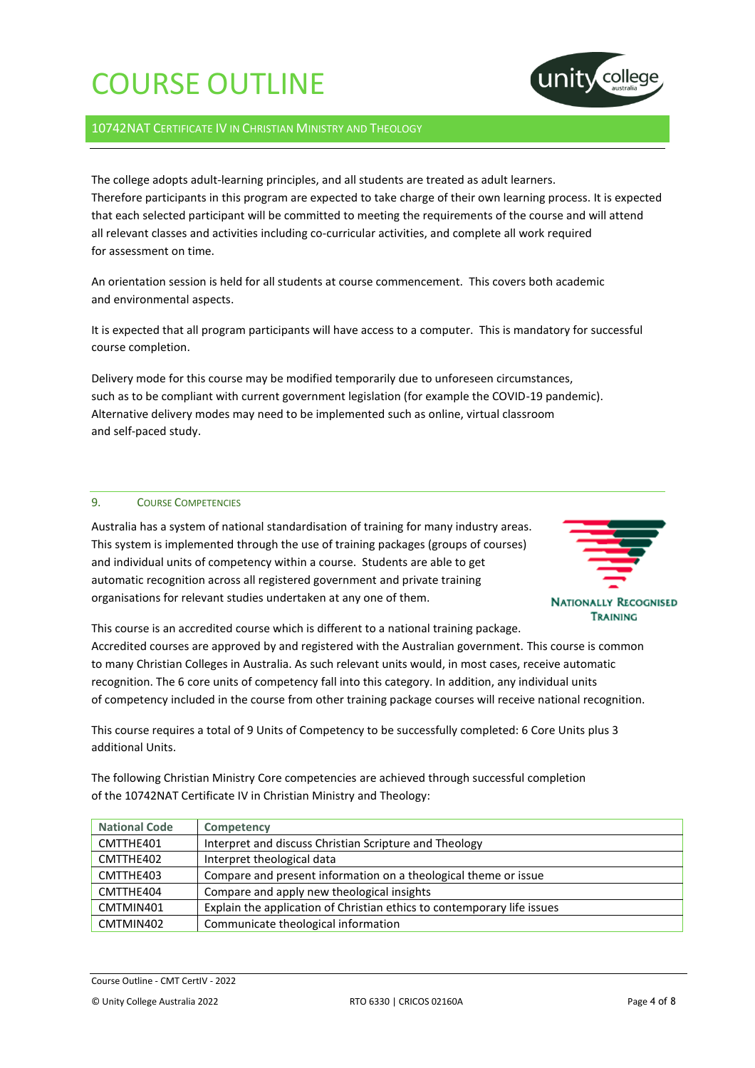

## 10742NAT CERTIFICATE IV IN CHRISTIAN MINISTRY AND THEOLOGY

The college adopts adult-learning principles, and all students are treated as adult learners. Therefore participants in this program are expected to take charge of their own learning process. It is expected that each selected participant will be committed to meeting the requirements of the course and will attend all relevant classes and activities including co-curricular activities, and complete all work required for assessment on time.

An orientation session is held for all students at course commencement. This covers both academic and environmental aspects.

It is expected that all program participants will have access to a computer. This is mandatory for successful course completion.

Delivery mode for this course may be modified temporarily due to unforeseen circumstances, such as to be compliant with current government legislation (for example the COVID-19 pandemic). Alternative delivery modes may need to be implemented such as online, virtual classroom and self-paced study.

### 9. COURSE COMPETENCIES

Australia has a system of national standardisation of training for many industry areas. This system is implemented through the use of training packages (groups of courses) and individual units of competency within a course. Students are able to get automatic recognition across all registered government and private training organisations for relevant studies undertaken at any one of them.



This course is an accredited course which is different to a national training package. Accredited courses are approved by and registered with the Australian government. This course is common to many Christian Colleges in Australia. As such relevant units would, in most cases, receive automatic recognition. The 6 core units of competency fall into this category. In addition, any individual units of competency included in the course from other training package courses will receive national recognition.

This course requires a total of 9 Units of Competency to be successfully completed: 6 Core Units plus 3 additional Units.

The following Christian Ministry Core competencies are achieved through successful completion of the 10742NAT Certificate IV in Christian Ministry and Theology:

| <b>National Code</b> | Competency                                                              |
|----------------------|-------------------------------------------------------------------------|
| CMTTHE401            | Interpret and discuss Christian Scripture and Theology                  |
| CMTTHE402            | Interpret theological data                                              |
| CMTTHE403            | Compare and present information on a theological theme or issue         |
| CMTTHE404            | Compare and apply new theological insights                              |
| CMTMIN401            | Explain the application of Christian ethics to contemporary life issues |
| CMTMIN402            | Communicate theological information                                     |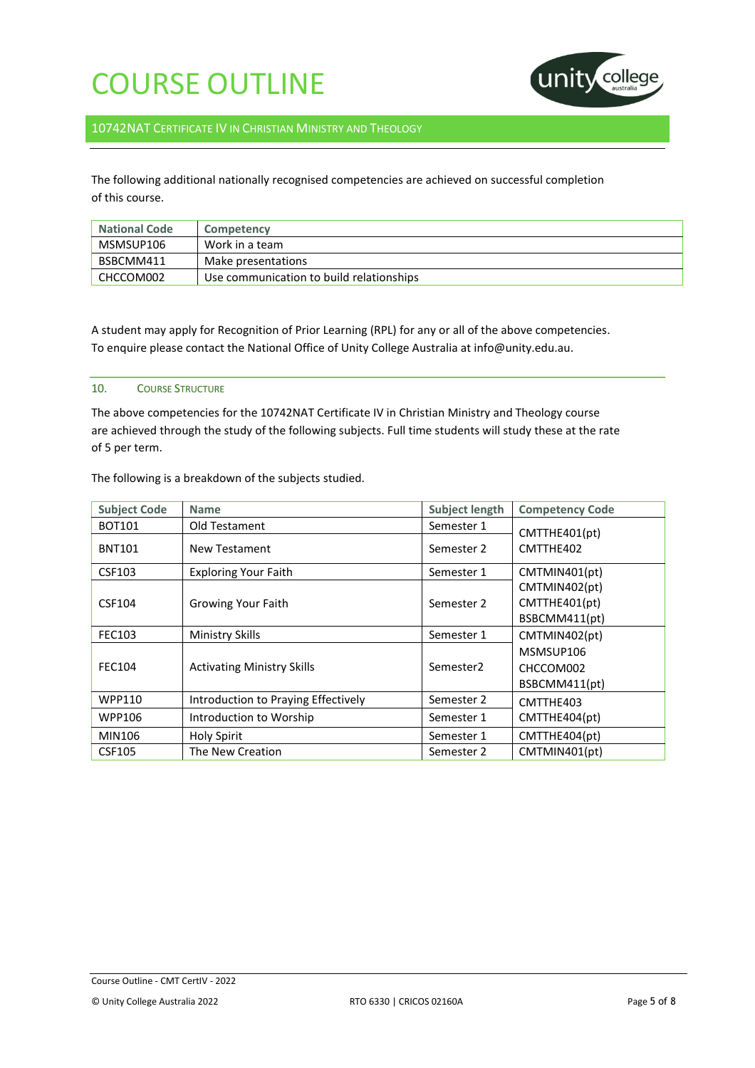

## 10742NAT CERTIFICATE IV IN CHRISTIAN MINISTRY AND THEOLOGY

The following additional nationally recognised competencies are achieved on successful completion of this course.

| <b>National Code</b> | Competency                               |
|----------------------|------------------------------------------|
| MSMSUP106            | Work in a team                           |
| BSBCMM411            | Make presentations                       |
| CHCCOM002            | Use communication to build relationships |

A student may apply for Recognition of Prior Learning (RPL) for any or all of the above competencies. To enquire please contact the National Office of Unity College Australia at info@unity.edu.au.

### 10. COURSE STRUCTURE

The above competencies for the 10742NAT Certificate IV in Christian Ministry and Theology course are achieved through the study of the following subjects. Full time students will study these at the rate of 5 per term.

| <b>Subject Code</b> | <b>Name</b>                         | <b>Subject length</b> | <b>Competency Code</b>                          |
|---------------------|-------------------------------------|-----------------------|-------------------------------------------------|
| <b>BOT101</b>       | Old Testament                       | Semester 1            | CMTTHE401(pt)                                   |
| <b>BNT101</b>       | New Testament                       | Semester 2            | CMTTHE402                                       |
| CSF103              | <b>Exploring Your Faith</b>         | Semester 1            | CMTMIN401(pt)                                   |
| CSF104              | Growing Your Faith                  | Semester 2            | CMTMIN402(pt)<br>CMTTHE401(pt)<br>BSBCMM411(pt) |
| <b>FEC103</b>       | Ministry Skills                     | Semester 1            | CMTMIN402(pt)                                   |
| FEC104              | <b>Activating Ministry Skills</b>   | Semester <sub>2</sub> | MSMSUP106<br>CHCCOM002<br>BSBCMM411(pt)         |
| WPP110              | Introduction to Praying Effectively | Semester 2            | CMTTHE403                                       |
| WPP106              | Introduction to Worship             | Semester 1            | CMTTHE404(pt)                                   |
| MIN106              | <b>Holy Spirit</b>                  | Semester 1            | CMTTHE404(pt)                                   |
| <b>CSF105</b>       | The New Creation                    | Semester 2            | CMTMIN401(pt)                                   |

The following is a breakdown of the subjects studied.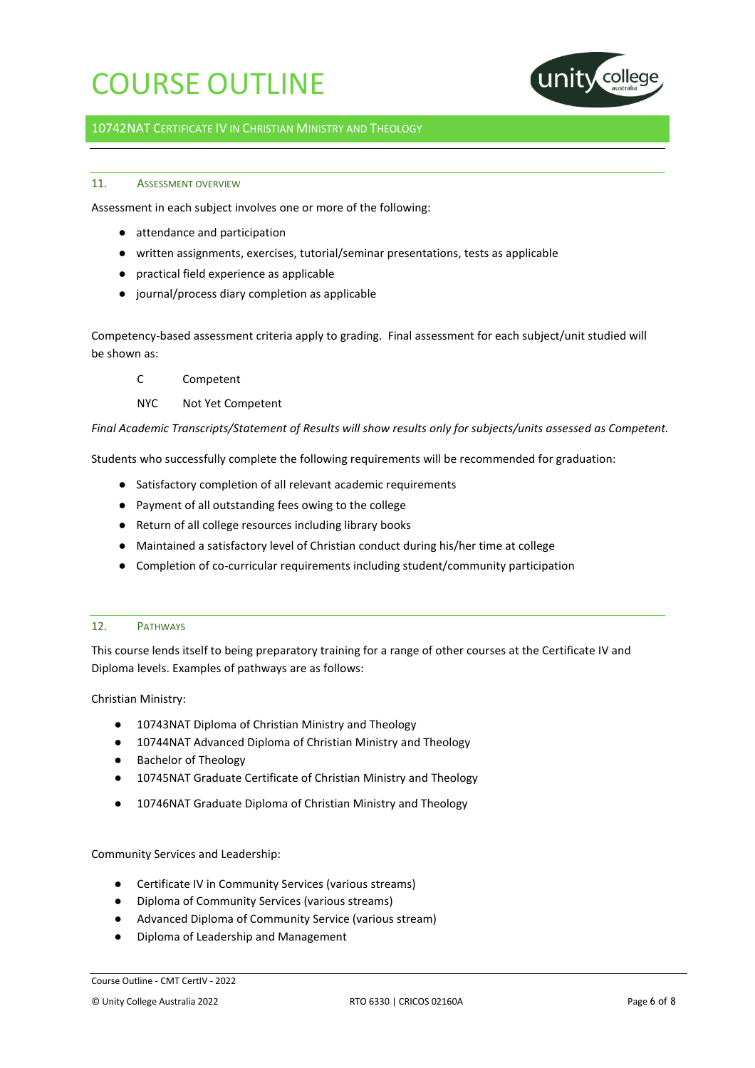

## 10742NAT CERTIFICATE IV IN CHRISTIAN MINISTRY AND THEOLOGY

## 11 **ASSESSMENT OVERVIEW**

Assessment in each subject involves one or more of the following:

- attendance and participation
- written assignments, exercises, tutorial/seminar presentations, tests as applicable
- practical field experience as applicable
- journal/process diary completion as applicable

Competency-based assessment criteria apply to grading. Final assessment for each subject/unit studied will be shown as:

- C Competent
- NYC Not Yet Competent

*Final Academic Transcripts/Statement of Results will show results only for subjects/units assessed as Competent.*

Students who successfully complete the following requirements will be recommended for graduation:

- Satisfactory completion of all relevant academic requirements
- Payment of all outstanding fees owing to the college
- Return of all college resources including library books
- Maintained a satisfactory level of Christian conduct during his/her time at college
- Completion of co-curricular requirements including student/community participation

## 12. PATHWAYS

This course lends itself to being preparatory training for a range of other courses at the Certificate IV and Diploma levels. Examples of pathways are as follows:

Christian Ministry:

- 10743NAT Diploma of Christian Ministry and Theology
- 10744NAT Advanced Diploma of Christian Ministry and Theology
- Bachelor of Theology
- 10745NAT Graduate Certificate of Christian Ministry and Theology
- 10746NAT Graduate Diploma of Christian Ministry and Theology

Community Services and Leadership:

- Certificate IV in Community Services (various streams)
- Diploma of Community Services (various streams)
- Advanced Diploma of Community Service (various stream)
- Diploma of Leadership and Management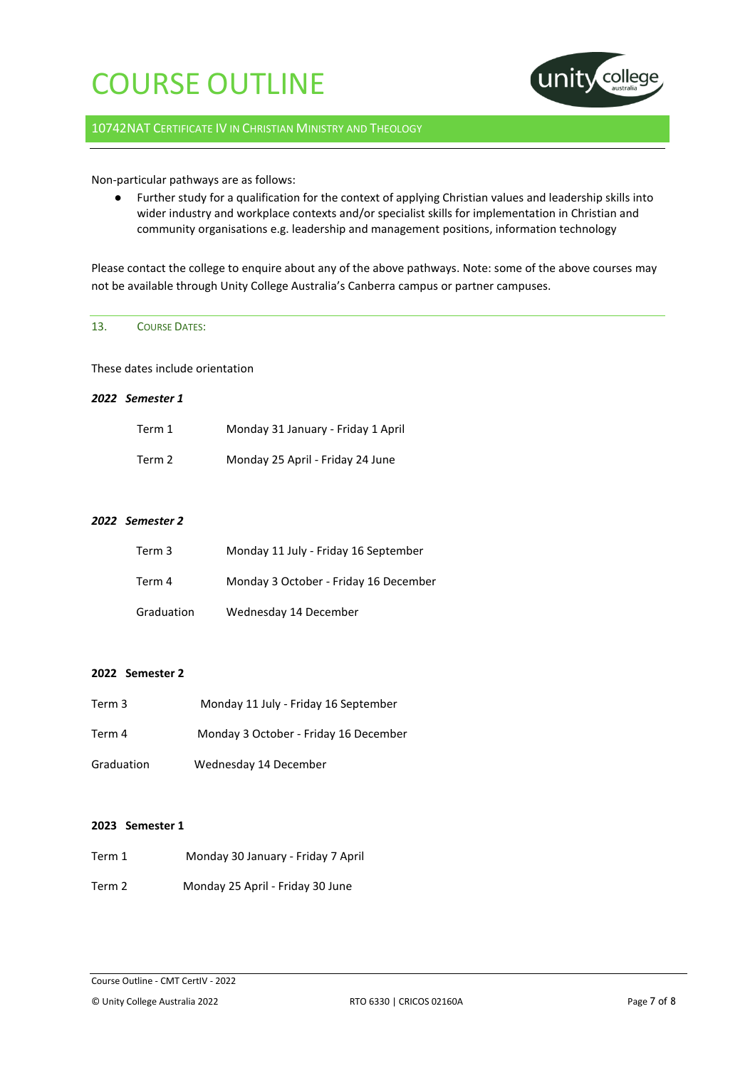

## 10742NAT CERTIFICATE IV IN CHRISTIAN MINISTRY AND THEOLOGY

## Non-particular pathways are as follows:

● Further study for a qualification for the context of applying Christian values and leadership skills into wider industry and workplace contexts and/or specialist skills for implementation in Christian and community organisations e.g. leadership and management positions, information technology

Please contact the college to enquire about any of the above pathways. Note: some of the above courses may not be available through Unity College Australia's Canberra campus or partner campuses.

## 13. COURSE DATES:

These dates include orientation

### *2022 Semester 1*

| Term 1 | Monday 31 January - Friday 1 April |
|--------|------------------------------------|
| Term 2 | Monday 25 April - Friday 24 June   |

## *2022 Semester 2*

| Term 3     | Monday 11 July - Friday 16 September  |
|------------|---------------------------------------|
| Term 4     | Monday 3 October - Friday 16 December |
| Graduation | Wednesday 14 December                 |

## **2022 Semester 2**

| Term 3     | Monday 11 July - Friday 16 September  |
|------------|---------------------------------------|
| Term 4     | Monday 3 October - Friday 16 December |
| Graduation | Wednesday 14 December                 |

## **2023 Semester 1**

- Term 1 Monday 30 January Friday 7 April
- Term 2 Monday 25 April Friday 30 June